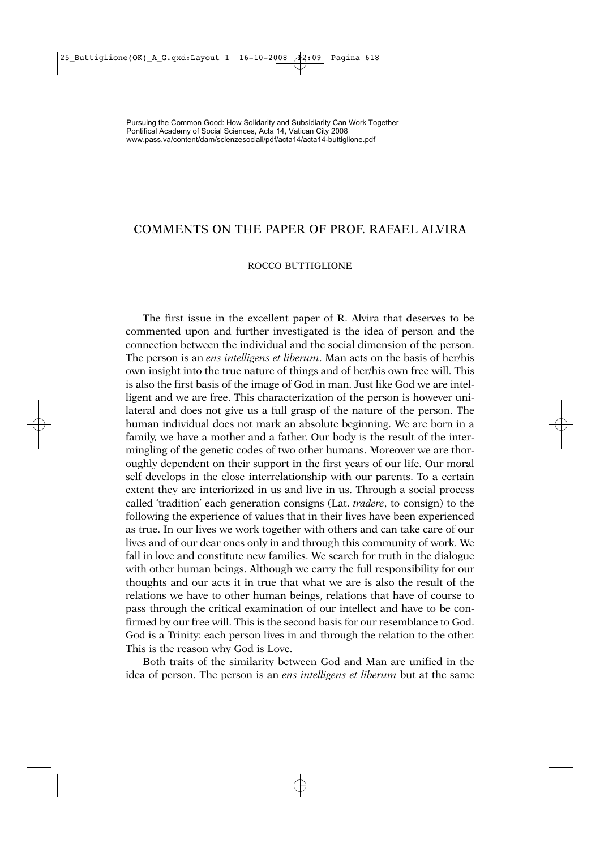## COMMENTS ON THE PAPER OF PROF. RAFAEL ALVIRA

## ROCCO BUTTIGLIONE

The first issue in the excellent paper of R. Alvira that deserves to be commented upon and further investigated is the idea of person and the connection between the individual and the social dimension of the person. The person is an *ens intelligens et liberum*. Man acts on the basis of her/his own insight into the true nature of things and of her/his own free will. This is also the first basis of the image of God in man. Just like God we are intelligent and we are free. This characterization of the person is however unilateral and does not give us a full grasp of the nature of the person. The human individual does not mark an absolute beginning. We are born in a family, we have a mother and a father. Our body is the result of the intermingling of the genetic codes of two other humans. Moreover we are thoroughly dependent on their support in the first years of our life. Our moral self develops in the close interrelationship with our parents. To a certain extent they are interiorized in us and live in us. Through a social process called 'tradition' each generation consigns (Lat. *tradere*, to consign) to the following the experience of values that in their lives have been experienced as true. In our lives we work together with others and can take care of our lives and of our dear ones only in and through this community of work. We fall in love and constitute new families. We search for truth in the dialogue with other human beings. Although we carry the full responsibility for our thoughts and our acts it in true that what we are is also the result of the relations we have to other human beings, relations that have of course to pass through the critical examination of our intellect and have to be confirmed by our free will. This is the second basis for our resemblance to God. God is a Trinity: each person lives in and through the relation to the other. This is the reason why God is Love.

Both traits of the similarity between God and Man are unified in the idea of person. The person is an *ens intelligens et liberum* but at the same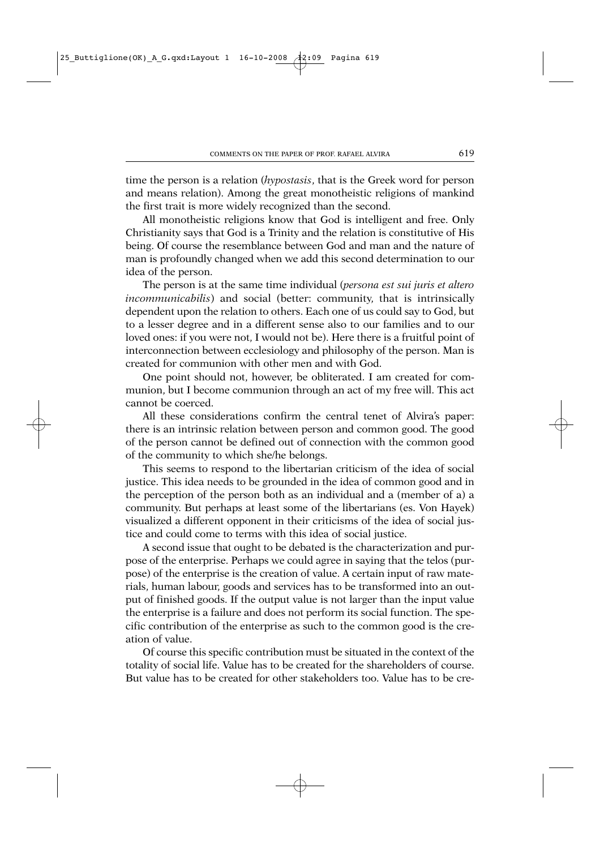time the person is a relation (*hypostasis*, that is the Greek word for person and means relation). Among the great monotheistic religions of mankind the first trait is more widely recognized than the second.

All monotheistic religions know that God is intelligent and free. Only Christianity says that God is a Trinity and the relation is constitutive of His being. Of course the resemblance between God and man and the nature of man is profoundly changed when we add this second determination to our idea of the person.

The person is at the same time individual (*persona est sui juris et altero incommunicabilis*) and social (better: community, that is intrinsically dependent upon the relation to others. Each one of us could say to God, but to a lesser degree and in a different sense also to our families and to our loved ones: if you were not, I would not be). Here there is a fruitful point of interconnection between ecclesiology and philosophy of the person. Man is created for communion with other men and with God.

One point should not, however, be obliterated. I am created for communion, but I become communion through an act of my free will. This act cannot be coerced.

All these considerations confirm the central tenet of Alvira's paper: there is an intrinsic relation between person and common good. The good of the person cannot be defined out of connection with the common good of the community to which she/he belongs.

This seems to respond to the libertarian criticism of the idea of social justice. This idea needs to be grounded in the idea of common good and in the perception of the person both as an individual and a (member of a) a community. But perhaps at least some of the libertarians (es. Von Hayek) visualized a different opponent in their criticisms of the idea of social justice and could come to terms with this idea of social justice.

A second issue that ought to be debated is the characterization and purpose of the enterprise. Perhaps we could agree in saying that the telos (purpose) of the enterprise is the creation of value. A certain input of raw materials, human labour, goods and services has to be transformed into an output of finished goods. If the output value is not larger than the input value the enterprise is a failure and does not perform its social function. The specific contribution of the enterprise as such to the common good is the creation of value.

Of course this specific contribution must be situated in the context of the totality of social life. Value has to be created for the shareholders of course. But value has to be created for other stakeholders too. Value has to be cre-